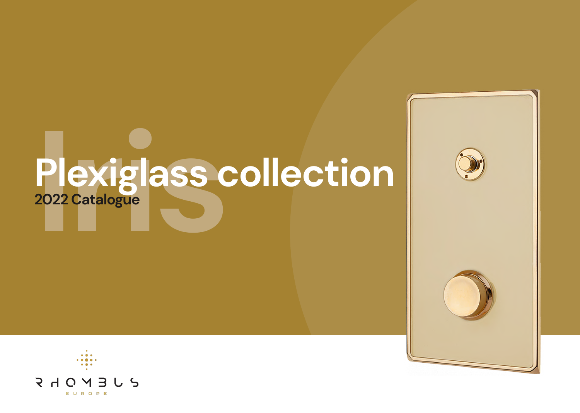# **Iris Plexiglass collection 2022 Catalogue**



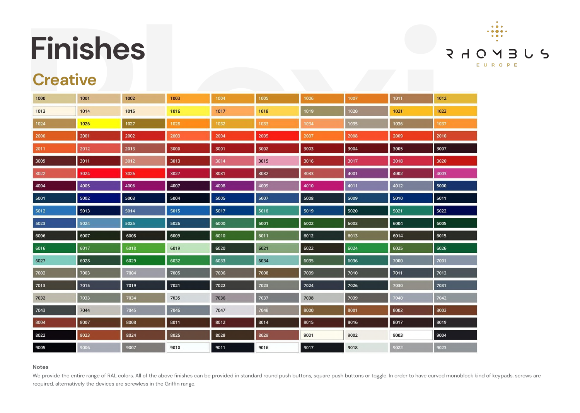|                 | <b>Finishes</b> |      |      |      |      |      |      |      |      |
|-----------------|-----------------|------|------|------|------|------|------|------|------|
| <b>Creative</b> |                 |      |      |      |      |      |      |      |      |
| 1000            | 1001            | 1002 | 1003 | 1004 | 1005 | 1006 | 1007 | 1011 | 1012 |
| 1013            | 1014            | 1015 | 1016 | 1017 | 1018 | 1019 | 1020 | 1021 | 1023 |
| 1024            | 1026            | 1027 | 1028 | 1032 | 1033 | 1034 | 1035 | 1036 | 1037 |
| 2000            | 2001            | 2002 | 2003 | 2004 | 2005 | 2007 | 2008 | 2009 | 2010 |
| 2011            | 2012            | 2013 | 3000 | 3001 | 3002 | 3003 | 3004 | 3005 | 3007 |
| 3009            | 3011            | 3012 | 3013 | 3014 | 3015 | 3016 | 3017 | 3018 | 3020 |
| 3022            | 3024            | 3026 | 3027 | 3031 | 3032 | 3033 | 4001 | 4002 | 4003 |
| 4004            | 4005            | 4006 | 4007 | 4008 | 4009 | 4010 | 4011 | 4012 | 5000 |
| 5001            | 5002            | 5003 | 5004 | 5005 | 5007 | 5008 | 5009 | 5010 | 5011 |
| 5012            | 5013            | 5014 | 5015 | 5017 | 5018 | 5019 | 5020 | 5021 | 5022 |
| 5023            | 5024            | 5025 | 5026 | 6000 | 6001 | 6002 | 6003 | 6004 | 6005 |
| 6006            | 6007            | 6008 | 6009 | 6010 | 6011 | 6012 | 6013 | 6014 | 6015 |
| 6016            | 6017            | 6018 | 6019 | 6020 | 6021 | 6022 | 6024 | 6025 | 6026 |
| 6027            | 6028            | 6029 | 6032 | 6033 | 6034 | 6035 | 6036 | 7000 | 7001 |
| 7002            | 7003            | 7004 | 7005 | 7006 | 7008 | 7009 | 7010 | 7011 | 7012 |
| 7013            | 7015            | 7019 | 7021 | 7022 | 7023 | 7024 | 7026 | 7030 | 7031 |
| 7032            | 7033            | 7034 | 7035 | 7036 | 7037 | 7038 | 7039 | 7040 | 7042 |
| 7043            | 7044            | 7045 | 7046 | 7047 | 7048 | 8000 | 8001 | 8002 | 8003 |
| 8004            | 8007            | 8008 | 8011 | 8012 | 8014 | 8015 | 8016 | 8017 | 8019 |
| 8022            | 8023            | 8024 | 8025 | 8028 | 8029 | 9001 | 9002 | 9003 | 9004 |
| 9005            | 9006            | 9007 | 9010 | 9011 | 9016 | 9017 | 9018 | 9022 | 9023 |

#### **Notes**

We provide the entire range of RAL colors. All of the above finishes can be provided in standard round push buttons, square push buttons or toggle. In order to have curved monoblock kind of keypads, screws are required, alternatively the devices are screwless in the Griffin range.



### **Creative**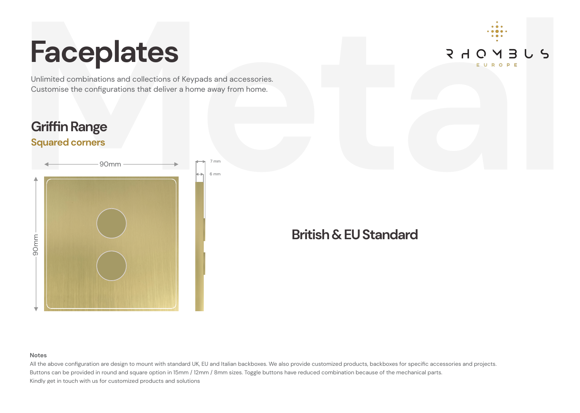

Customise the configurations that deliver a home away from home.

### **Griffin Range**

### **Squared corners**

## **Faceplates**



#### **Notes**

All the above configuration are design to mount with standard UK, EU and Italian backboxes. We also provide customized products, backboxes for specific accessories and projects. Buttons can be provided in round and square option in 15mm / 12mm / 8mm sizes. Toggle buttons have reduced combination because of the mechanical parts. Kindly get in touch with us for customized products and solutions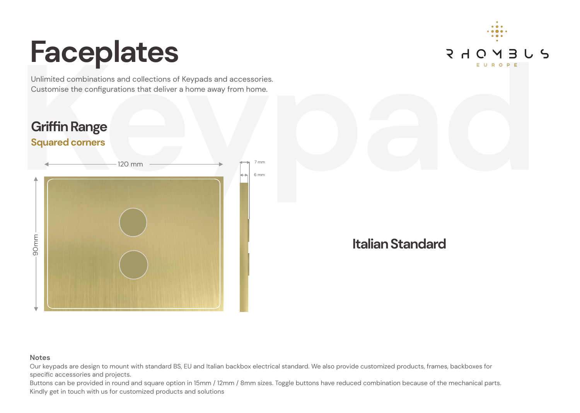Customise the configurations that deliver a home away from home.



## **Faceplates**

### **Italian Standard**

### **Notes**

Our keypads are design to mount with standard BS, EU and Italian backbox electrical standard. We also provide customized products, frames, backboxes for specific accessories and projects.

Buttons can be provided in round and square option in 15mm / 12mm / 8mm sizes. Toggle buttons have reduced combination because of the mechanical parts. Kindly get in touch with us for customized products and solutions

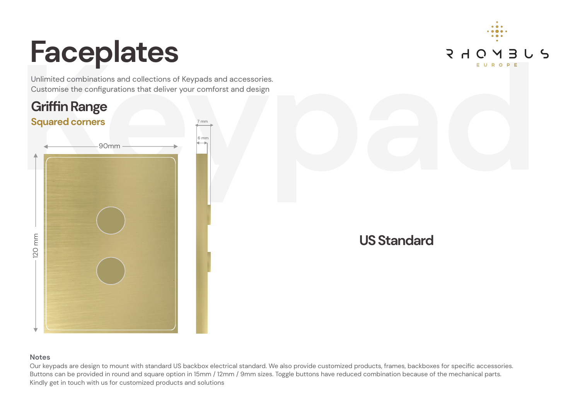## Unlimited combinations and collections of Keypads and accessories.<br>
Customise the configurations that deliver your comforst and design<br> **Griffin Range**<br>
Squared corners<br> **Keypads and accessories. Griffin Range Squared corners** 7 mm 6 mm 120 mm 90mm

Customise the configurations that deliver your comforst and design

## **Faceplates**

### **Notes**

Our keypads are design to mount with standard US backbox electrical standard. We also provide customized products, frames, backboxes for specific accessories. Buttons can be provided in round and square option in 15mm / 12mm / 9mm sizes. Toggle buttons have reduced combination because of the mechanical parts. Kindly get in touch with us for customized products and solutions